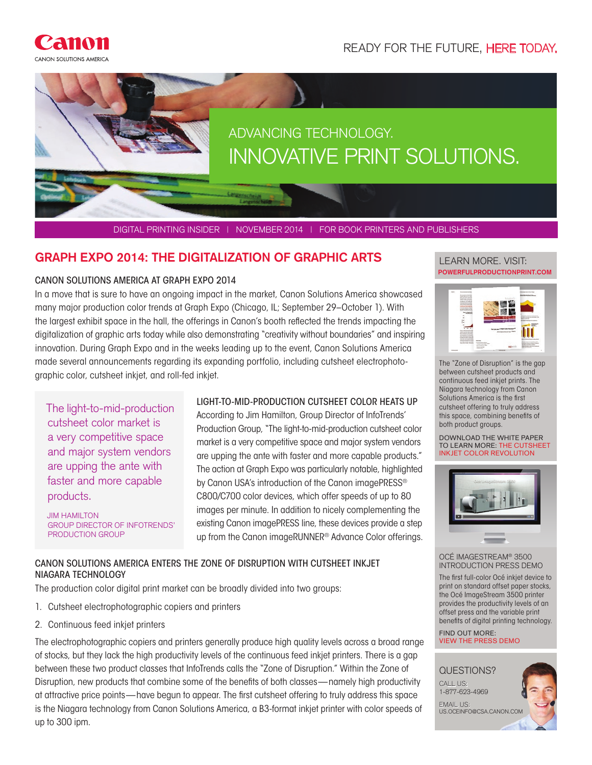



DIGITAL PRINTING INSIDER | NOVEMBER 2014 | FOR BOOK PRINTERS AND PUBLISHERS

# **GRAPH EXPO 2014: THE DIGITALIZATION OF GRAPHIC ARTS EXPROMING ALL EXARN MORE. VISIT:**

#### CANON SOLUTIONS AMERICA AT GRAPH EXPO 2014

In a move that is sure to have an ongoing impact in the market, Canon Solutions America showcased many major production color trends at Graph Expo (Chicago, IL; September 29–October 1). With the largest exhibit space in the hall, the offerings in Canon's booth reflected the trends impacting the digitalization of graphic arts today while also demonstrating "creativity without boundaries" and inspiring innovation. During Graph Expo and in the weeks leading up to the event, Canon Solutions America made several announcements regarding its expanding portfolio, including cutsheet electrophotographic color, cutsheet inkjet, and roll-fed inkjet.

The light-to-mid-production cutsheet color market is a very competitive space and major system vendors are upping the ante with faster and more capable products.

JIM HAMILTON GROUP DIRECTOR OF INFOTRENDS' PRODUCTION GROUP

## LIGHT-TO-MID-PRODUCTION CUTSHEET COLOR HEATS UP

According to Jim Hamilton, Group Director of InfoTrends' Production Group, "The light-to-mid-production cutsheet color market is a very competitive space and major system vendors are upping the ante with faster and more capable products." The action at Graph Expo was particularly notable, highlighted by Canon USA's introduction of the Canon imagePRESS® C800/C700 color devices, which offer speeds of up to 80 images per minute. In addition to nicely complementing the existing Canon imagePRESS line, these devices provide a step up from the Canon imageRUNNER® Advance Color offerings.

## CANON SOLUTIONS AMERICA ENTERS THE ZONE OF DISRUPTION WITH CUTSHEET INKJET NIAGARA TECHNOLOGY

The production color digital print market can be broadly divided into two groups:

- 1. Cutsheet electrophotographic copiers and printers
- 2. Continuous feed inkjet printers

The electrophotographic copiers and printers generally produce high quality levels across a broad range of stocks, but they lack the high productivity levels of the continuous feed inkjet printers. There is a gap between these two product classes that InfoTrends calls the "Zone of Disruption." Within the Zone of Disruption, new products that combine some of the benefits of both classes—namely high productivity at attractive price points—have begun to appear. The first cutsheet offering to truly address this space is the Niagara technology from Canon Solutions America, a B3-format inkjet printer with color speeds of up to 300 ipm.

# **POWERFULPRODUCTIONPRINT.COM**



The "Zone of Disruption" is the gap between cutsheet products and continuous feed inkjet prints. The Niagara technology from Canon Solutions America is the first cutsheet offering to truly address this space, combining benefits of both product groups.

DOWNLOAD THE WHITE PAPER TO LEARN MORE: THE CUTSHEET INKJET COLOR REVOLUTION



OCÉ IMAGESTREAM® 3500 INTRODUCTION PRESS DEMO

The first full-color Océ inkjet device to print on standard offset paper stocks, the Océ ImageStream 3500 printer provides the productivity levels of an offset press and the variable print benefits of digital printing technology.

FIND OUT MORE: VIEW THE PRESS DEMO

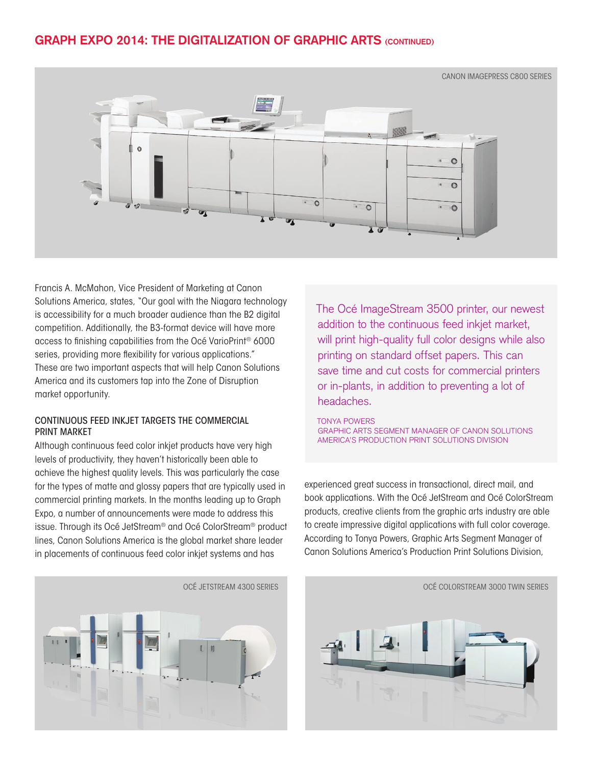# **GRAPH EXPO 2014: THE DIGITALIZATION OF GRAPHIC ARTS (CONTINUED)**



Francis A. McMahon, Vice President of Marketing at Canon Solutions America, states, "Our goal with the Niagara technology is accessibility for a much broader audience than the B2 digital competition. Additionally, the B3-format device will have more access to finishing capabilities from the Océ VarioPrint® 6000 series, providing more flexibility for various applications." These are two important aspects that will help Canon Solutions America and its customers tap into the Zone of Disruption market opportunity.

#### CONTINUOUS FEED INKJET TARGETS THE COMMERCIAL PRINT MARKET

Although continuous feed color inkjet products have very high levels of productivity, they haven't historically been able to achieve the highest quality levels. This was particularly the case for the types of matte and glossy papers that are typically used in commercial printing markets. In the months leading up to Graph Expo, a number of announcements were made to address this issue. Through its Océ JetStream® and Océ ColorStream® product lines, Canon Solutions America is the global market share leader in placements of continuous feed color inkjet systems and has

 $\mathbf{u}$ 

The Océ ImageStream 3500 printer, our newest addition to the continuous feed inkjet market, will print high-quality full color designs while also printing on standard offset papers. This can save time and cut costs for commercial printers or in-plants, in addition to preventing a lot of headaches.

#### TONYA POWERS GRAPHIC ARTS SEGMENT MANAGER OF CANON SOLUTIONS AMERICA'S PRODUCTION PRINT SOLUTIONS DIVISION

experienced great success in transactional, direct mail, and book applications. With the Océ JetStream and Océ ColorStream products, creative clients from the graphic arts industry are able to create impressive digital applications with full color coverage. According to Tonya Powers, Graphic Arts Segment Manager of Canon Solutions America's Production Print Solutions Division,

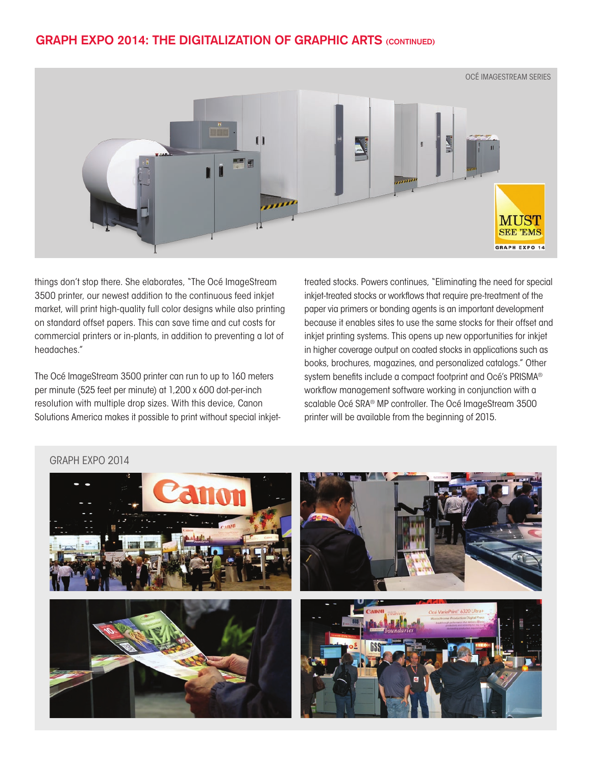# **GRAPH EXPO 2014: THE DIGITALIZATION OF GRAPHIC ARTS (CONTINUED)**



things don't stop there. She elaborates, "The Océ ImageStream 3500 printer, our newest addition to the continuous feed inkjet market, will print high-quality full color designs while also printing on standard offset papers. This can save time and cut costs for commercial printers or in-plants, in addition to preventing a lot of headaches."

The Océ ImageStream 3500 printer can run to up to 160 meters per minute (525 feet per minute) at 1,200 x 600 dot-per-inch resolution with multiple drop sizes. With this device, Canon Solutions America makes it possible to print without special inkjettreated stocks. Powers continues, "Eliminating the need for special inkjet-treated stocks or workflows that require pre-treatment of the paper via primers or bonding agents is an important development because it enables sites to use the same stocks for their offset and inkjet printing systems. This opens up new opportunities for inkjet in higher coverage output on coated stocks in applications such as books, brochures, magazines, and personalized catalogs." Other system benefits include a compact footprint and Océ's PRISMA® workflow management software working in conjunction with a scalable Océ SRA® MP controller. The Océ ImageStream 3500 printer will be available from the beginning of 2015.

## GRAPH EXPO 2014